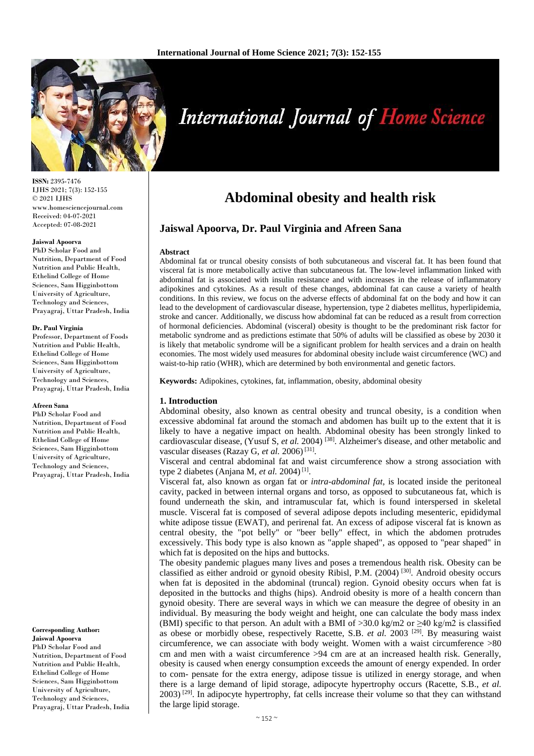

**International Journal of Home Science** 

**ISSN:** 2395-7476 IJHS 2021; 7(3): 152-155 © 2021 IJHS www.homesciencejournal.com Received: 04-07-2021 Accepted: 07-08-2021

#### **Jaiswal Apoorva**

PhD Scholar Food and Nutrition, Department of Food Nutrition and Public Health, Ethelind College of Home Sciences, Sam Higginbottom University of Agriculture, Technology and Sciences, Prayagraj, Uttar Pradesh, India

#### **Dr. Paul Virginia**

Professor, Department of Foods Nutrition and Public Health, Ethelind College of Home Sciences, Sam Higginbottom University of Agriculture, Technology and Sciences, Prayagraj, Uttar Pradesh, India

#### **Afreen Sana**

PhD Scholar Food and Nutrition, Department of Food Nutrition and Public Health, Ethelind College of Home Sciences, Sam Higginbottom University of Agriculture, Technology and Sciences, Prayagraj, Uttar Pradesh, India

#### **Corresponding Author: Jaiswal Apoorva**

PhD Scholar Food and Nutrition, Department of Food Nutrition and Public Health, Ethelind College of Home Sciences, Sam Higginbottom University of Agriculture, Technology and Sciences, Prayagraj, Uttar Pradesh, India

# **Abdominal obesity and health risk**

# **Jaiswal Apoorva, Dr. Paul Virginia and Afreen Sana**

#### **Abstract**

Abdominal fat or truncal obesity consists of both subcutaneous and visceral fat. It has been found that visceral fat is more metabolically active than subcutaneous fat. The low-level inflammation linked with abdominal fat is associated with insulin resistance and with increases in the release of inflammatory adipokines and cytokines. As a result of these changes, abdominal fat can cause a variety of health conditions. In this review, we focus on the adverse effects of abdominal fat on the body and how it can lead to the development of cardiovascular disease, hypertension, type 2 diabetes mellitus, hyperlipidemia, stroke and cancer. Additionally, we discuss how abdominal fat can be reduced as a result from correction of hormonal deficiencies. Abdominal (visceral) obesity is thought to be the predominant risk factor for metabolic syndrome and as predictions estimate that 50% of adults will be classified as obese by 2030 it is likely that metabolic syndrome will be a significant problem for health services and a drain on health economies. The most widely used measures for abdominal obesity include waist circumference (WC) and waist-to-hip ratio (WHR), which are determined by both environmental and genetic factors.

**Keywords:** Adipokines, cytokines, fat, inflammation, obesity, abdominal obesity

# **1. Introduction**

Abdominal obesity, also known as central obesity and truncal obesity, is a condition when excessive abdominal fat around the stomach and abdomen has built up to the extent that it is likely to have a negative impact on health. Abdominal obesity has been strongly linked to cardiovascular disease, (Yusuf S, et al. 2004)<sup>[38]</sup>. Alzheimer's disease, and other metabolic and vascular diseases (Razay G, et al. 2006)<sup>[31]</sup>.

Visceral and central abdominal fat and waist circumference show a strong association with type 2 diabetes (Anjana M, *et al.* 2004)<sup>[1]</sup>.

Visceral fat, also known as organ fat or *intra-abdominal fat*, is located inside the peritoneal cavity, packed in between internal organs and torso, as opposed to subcutaneous fat, which is found underneath the skin, and intramuscular fat, which is found interspersed in skeletal muscle. Visceral fat is composed of several adipose depots including mesenteric, epididymal white adipose tissue (EWAT), and perirenal fat. An excess of adipose visceral fat is known as central obesity, the "pot belly" or "beer belly" effect, in which the abdomen protrudes excessively. This body type is also known as "apple shaped", as opposed to "pear shaped" in which fat is deposited on the hips and buttocks.

The obesity pandemic plagues many lives and poses a tremendous health risk. Obesity can be classified as either android or gynoid obesity Ribisl, P.M.  $(2004)$ <sup>[30]</sup>. Android obesity occurs when fat is deposited in the abdominal (truncal) region. Gynoid obesity occurs when fat is deposited in the buttocks and thighs (hips). Android obesity is more of a health concern than gynoid obesity. There are several ways in which we can measure the degree of obesity in an individual. By measuring the body weight and height, one can calculate the body mass index (BMI) specific to that person. An adult with a BMI of >30.0 kg/m2 or  $\geq$ 40 kg/m2 is classified as obese or morbidly obese, respectively Racette, S.B. et al. 2003<sup>[29]</sup>. By measuring waist circumference, we can associate with body weight. Women with a waist circumference >80 cm and men with a waist circumference >94 cm are at an increased health risk. Generally, obesity is caused when energy consumption exceeds the amount of energy expended. In order to com- pensate for the extra energy, adipose tissue is utilized in energy storage, and when there is a large demand of lipid storage, adipocyte hypertrophy occurs (Racette, S.B., *et al.* 2003) [29]. In adipocyte hypertrophy, fat cells increase their volume so that they can withstand the large lipid storage.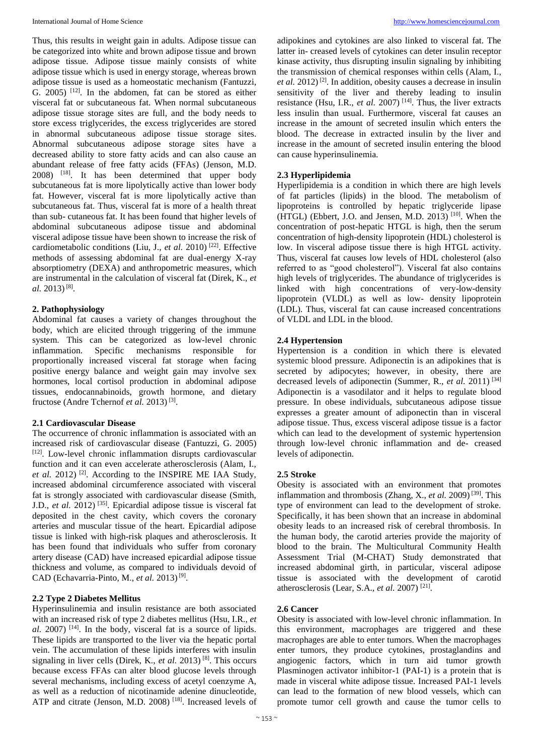Thus, this results in weight gain in adults. Adipose tissue can be categorized into white and brown adipose tissue and brown adipose tissue. Adipose tissue mainly consists of white adipose tissue which is used in energy storage, whereas brown adipose tissue is used as a homeostatic mechanism (Fantuzzi, G. 2005)  $[12]$ . In the abdomen, fat can be stored as either visceral fat or subcutaneous fat. When normal subcutaneous adipose tissue storage sites are full, and the body needs to store excess triglycerides, the excess triglycerides are stored in abnormal subcutaneous adipose tissue storage sites. Abnormal subcutaneous adipose storage sites have a decreased ability to store fatty acids and can also cause an abundant release of free fatty acids (FFAs) (Jenson, M.D. 2008) [18]. It has been determined that upper body subcutaneous fat is more lipolytically active than lower body fat. However, visceral fat is more lipolytically active than subcutaneous fat. Thus, visceral fat is more of a health threat than sub- cutaneous fat. It has been found that higher levels of abdominal subcutaneous adipose tissue and abdominal visceral adipose tissue have been shown to increase the risk of cardiometabolic conditions (Liu, J., *et al.* 2010)<sup>[22]</sup>. Effective methods of assessing abdominal fat are dual-energy X-ray absorptiometry (DEXA) and anthropometric measures, which are instrumental in the calculation of visceral fat (Direk, K., *et*  al. 2013)<sup>[8]</sup>.

# **2. Pathophysiology**

Abdominal fat causes a variety of changes throughout the body, which are elicited through triggering of the immune system. This can be categorized as low-level chronic inflammation. Specific mechanisms responsible for proportionally increased visceral fat storage when facing positive energy balance and weight gain may involve sex hormones, local cortisol production in abdominal adipose tissues, endocannabinoids, growth hormone, and dietary fructose (Andre Tchernof *et al.* 2013)<sup>[3]</sup>.

# **2.1 Cardiovascular Disease**

The occurrence of chronic inflammation is associated with an increased risk of cardiovascular disease (Fantuzzi, G. 2005) [12]. Low-level chronic inflammation disrupts cardiovascular function and it can even accelerate atherosclerosis (Alam, I., et al. 2012)<sup>[2]</sup>. According to the INSPIRE ME IAA Study, increased abdominal circumference associated with visceral fat is strongly associated with cardiovascular disease (Smith, J.D., *et al.* 2012)<sup>[35]</sup>. Epicardial adipose tissue is visceral fat deposited in the chest cavity, which covers the coronary arteries and muscular tissue of the heart. Epicardial adipose tissue is linked with high-risk plaques and atherosclerosis. It has been found that individuals who suffer from coronary artery disease (CAD) have increased epicardial adipose tissue thickness and volume, as compared to individuals devoid of CAD (Echavarria-Pinto, M., et al. 2013)<sup>[9]</sup>.

# **2.2 Type 2 Diabetes Mellitus**

Hyperinsulinemia and insulin resistance are both associated with an increased risk of type 2 diabetes mellitus (Hsu, I.R., *et*   $al. 2007$ )<sup>[14]</sup>. In the body, visceral fat is a source of lipids. These lipids are transported to the liver via the hepatic portal vein. The accumulation of these lipids interferes with insulin signaling in liver cells (Direk, K., *et al.* 2013)<sup>[8]</sup>. This occurs because excess FFAs can alter blood glucose levels through several mechanisms, including excess of acetyl coenzyme A, as well as a reduction of nicotinamide adenine dinucleotide, ATP and citrate (Jenson, M.D. 2008)<sup>[18]</sup>. Increased levels of

adipokines and cytokines are also linked to visceral fat. The latter in- creased levels of cytokines can deter insulin receptor kinase activity, thus disrupting insulin signaling by inhibiting the transmission of chemical responses within cells (Alam, I., *et al.* 2012)<sup>[2]</sup>. In addition, obesity causes a decrease in insulin sensitivity of the liver and thereby leading to insulin resistance (Hsu, I.R., *et al.* 2007) [14]. Thus, the liver extracts less insulin than usual. Furthermore, visceral fat causes an increase in the amount of secreted insulin which enters the blood. The decrease in extracted insulin by the liver and increase in the amount of secreted insulin entering the blood can cause hyperinsulinemia.

# **2.3 Hyperlipidemia**

Hyperlipidemia is a condition in which there are high levels of fat particles (lipids) in the blood. The metabolism of lipoproteins is controlled by hepatic triglyceride lipase  $(HTGL)$  (Ebbert, J.O. and Jensen, M.D. 2013)<sup>[10]</sup>. When the concentration of post-hepatic HTGL is high, then the serum concentration of high-density lipoprotein (HDL) cholesterol is low. In visceral adipose tissue there is high HTGL activity. Thus, visceral fat causes low levels of HDL cholesterol (also referred to as "good cholesterol"). Visceral fat also contains high levels of triglycerides. The abundance of triglycerides is linked with high concentrations of very-low-density lipoprotein (VLDL) as well as low- density lipoprotein (LDL). Thus, visceral fat can cause increased concentrations of VLDL and LDL in the blood.

# **2.4 Hypertension**

Hypertension is a condition in which there is elevated systemic blood pressure. Adiponectin is an adipokines that is secreted by adipocytes; however, in obesity, there are decreased levels of adiponectin (Summer, R., *et al.* 2011) [34] Adiponectin is a vasodilator and it helps to regulate blood pressure. In obese individuals, subcutaneous adipose tissue expresses a greater amount of adiponectin than in visceral adipose tissue. Thus, excess visceral adipose tissue is a factor which can lead to the development of systemic hypertension through low-level chronic inflammation and de- creased levels of adiponectin.

# **2.5 Stroke**

Obesity is associated with an environment that promotes inflammation and thrombosis (Zhang, X., *et al.* 2009) [39]. This type of environment can lead to the development of stroke. Specifically, it has been shown that an increase in abdominal obesity leads to an increased risk of cerebral thrombosis. In the human body, the carotid arteries provide the majority of blood to the brain. The Multicultural Community Health Assessment Trial (M-CHAT) Study demonstrated that increased abdominal girth, in particular, visceral adipose tissue is associated with the development of carotid atherosclerosis (Lear, S.A., *et al.* 2007) [21] .

# **2.6 Cancer**

Obesity is associated with low-level chronic inflammation. In this environment, macrophages are triggered and these macrophages are able to enter tumors. When the macrophages enter tumors, they produce cytokines, prostaglandins and angiogenic factors, which in turn aid tumor growth Plasminogen activator inhibitor-1 (PAI-1) is a protein that is made in visceral white adipose tissue. Increased PAI-1 levels can lead to the formation of new blood vessels, which can promote tumor cell growth and cause the tumor cells to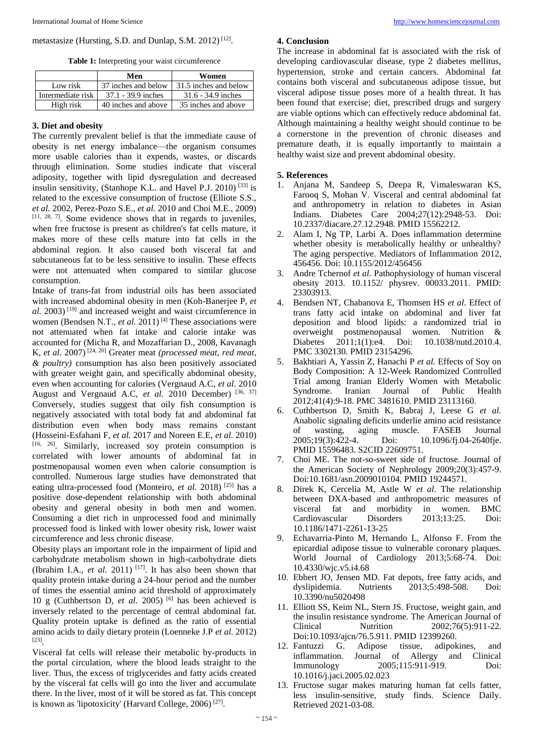# metastasize (Hursting, S.D. and Dunlap, S.M. 2012)<sup>[12]</sup>.

**Table 1:** Interpreting your waist circumference

|                   | Men                  | Women                 |
|-------------------|----------------------|-----------------------|
| Low risk          | 37 inches and below  | 31.5 inches and below |
| Intermediate risk | $37.1 - 39.9$ inches | $31.6 - 34.9$ inches  |
| High risk         | 40 inches and above  | 35 inches and above   |

#### **3. Diet and obesity**

The currently prevalent belief is that the immediate cause of obesity is net energy imbalance—the organism consumes more usable calories than it expends, wastes, or discards through elimination. Some studies indicate that visceral adiposity, together with lipid dysregulation and decreased insulin sensitivity, (Stanhope K.L. and Havel P.J. 2010) [33] is related to the excessive consumption of fructose (Elliote S.S., *et al.* 2002, Perez-Pozo S.E., *et al.* 2010 and Choi M.E., 2009)  $[11, 28, 7]$ . Some evidence shows that in regards to juveniles, when free fructose is present as children's fat cells mature, it makes more of these cells mature into fat cells in the abdominal region. It also caused both visceral fat and subcutaneous fat to be less sensitive to insulin. These effects were not attenuated when compared to similar glucose consumption.

Intake of trans-fat from industrial oils has been associated with increased abdominal obesity in men (Koh-Banerjee P, *et al.* 2003) [19] and increased weight and waist circumference in women (Bendsen N.T., *et al.* 2011)<sup>[4]</sup> These associations were not attenuated when fat intake and calorie intake was accounted for (Micha R, and Mozaffarian D., 2008, Kavanagh K, *et al.* 2007) [24, 20] Greater meat *(processed meat, red meat, & poultry)* consumption has also been positively associated with greater weight gain, and specifically abdominal obesity, even when accounting for calories (Vergnaud A.C, *et al.* 2010 August and Vergnaud A.C, *et al.* 2010 December) [36, 37] Conversely, studies suggest that oily fish consumption is negatively associated with total body fat and abdominal fat distribution even when body mass remains constant (Hosseini-Esfahani F, *et al.* 2017 and Noreen E.E, *et al.* 2010) [16, 26] . Similarly, increased soy protein consumption is correlated with lower amounts of abdominal fat in postmenopausal women even when calorie consumption is controlled. Numerous large studies have demonstrated that eating ultra-processed food (Monteiro, *et al.* 2018)<sup>[25]</sup> has a positive dose-dependent relationship with both abdominal obesity and general obesity in both men and women. Consuming a diet rich in unprocessed food and minimally processed food is linked with lower obesity risk, lower waist circumference and less chronic disease.

Obesity plays an important role in the impairment of lipid and carbohydrate metabolism shown in high-carbohydrate diets (Ibrahim I.A., *et al.* 2011)<sup>[17]</sup>. It has also been shown that quality protein intake during a 24-hour period and the number of times the essential amino acid threshold of approximately 10 g (Cuthbertson D, *et al.* 2005) [6] has been achieved is inversely related to the percentage of central abdominal fat. Quality protein uptake is defined as the ratio of essential amino acids to daily dietary protein (Loenneke J.P *et al.* 2012) [23] .

Visceral fat cells will release their metabolic by-products in the portal circulation, where the blood leads straight to the liver. Thus, the excess of triglycerides and fatty acids created by the visceral fat cells will go into the liver and accumulate there. In the liver, most of it will be stored as fat. This concept is known as 'lipotoxicity' (Harvard College, 2006)<sup>[27]</sup>.

### **4. Conclusion**

The increase in abdominal fat is associated with the risk of developing cardiovascular disease, type 2 diabetes mellitus, hypertension, stroke and certain cancers. Abdominal fat contains both visceral and subcutaneous adipose tissue, but visceral adipose tissue poses more of a health threat. It has been found that exercise; diet, prescribed drugs and surgery are viable options which can effectively reduce abdominal fat. Although maintaining a healthy weight should continue to be a cornerstone in the prevention of chronic diseases and premature death, it is equally importantly to maintain a healthy waist size and prevent abdominal obesity.

#### **5. References**

- 1. Anjana M, Sandeep S, Deepa R, Vimaleswaran KS, Farooq S, Mohan V. Visceral and central abdominal fat and anthropometry in relation to diabetes in Asian Indians. Diabetes Care 2004;27(12):2948-53. Doi: 10.2337/diacare.27.12.2948. PMID 15562212.
- 2. Alam I, Ng TP, Larbi A. Does inflammation determine whether obesity is metabolically healthy or unhealthy? The aging perspective. Mediators of Inflammation 2012, 456456. Doi: 10.1155/2012/456456
- 3. Andre Tchernof *et al.* Pathophysiology of human visceral obesity 2013. 10.1152/ physrev. 00033.2011. PMID: 23303913.
- 4. Bendsen NT, Chabanova E, Thomsen HS *et al.* Effect of trans fatty acid intake on abdominal and liver fat deposition and blood lipids: a randomized trial in overweight postmenopausal women. Nutrition &<br>Diabetes 2011:1(1):e4. Doi: 10.1038/nutd.2010.4. Diabetes  $2011:1(1):e<sub>4</sub>$ . Doi: PMC 3302130. PMID 23154296.
- 5. Bakhtiari A, Yassin Z, Hanachi P *et al.* Effects of Soy on Body Composition: A 12-Week Randomized Controlled Trial among Iranian Elderly Women with Metabolic Syndrome. Iranian Journal of Public Health 2012;41(4):9-18. PMC 3481610. PMID 23113160.
- 6. Cuthbertson D, Smith K, Babraj J, Leese G *et al.* Anabolic signaling deficits underlie amino acid resistance of wasting, aging muscle. FASEB Journal 2005:19(3):422-4. Doi: 10.1096/fi.04-2640fie. 2005;19(3):422-4. Doi: 10.1096/fj.04-2640fje. PMID 15596483. S2CID 22609751.
- 7. Choi ME. The not-so-sweet side of fructose. Journal of the American Society of Nephrology 2009;20(3):457-9. Doi:10.1681/asn.2009010104. PMID 19244571.
- 8. Direk K, Cercelia M, Astle W *et al.* The relationship between DXA-based and anthropometric measures of visceral fat and morbidity in women. BMC Cardiovascular Disorders 2013;13:25. Doi: 10.1186/1471-2261-13-25
- 9. Echavarria-Pinto M, Hernando L, Alfonso F. From the epicardial adipose tissue to vulnerable coronary plaques. World Journal of Cardiology 2013;5:68-74. Doi: 10.4330/wjc.v5.i4.68
- 10. Ebbert JO, Jensen MD. Fat depots, free fatty acids, and dyslipidemia. Nutrients 2013;5:498-508. Doi: 10.3390/nu5020498
- 11. Elliott SS, Keim NL, Stern JS. Fructose, weight gain, and the insulin resistance syndrome. The American Journal of Clinical Nutrition 2002;76(5):911-22. Doi:10.1093/ajcn/76.5.911. PMID 12399260.<br>12. Fantuzzi G. Adipose tissue, adipok
- Fantuzzi G. Adipose tissue, adipokines, and<br>inflammation. Journal of Allergy and Clinical Journal of Allergy and Clinical Immunology 2005;115:911-919. Doi: 10.1016/j.jaci.2005.02.023
- 13. Fructose sugar makes maturing human fat cells fatter, less insulin-sensitive, study finds. Science Daily. Retrieved 2021-03-08.